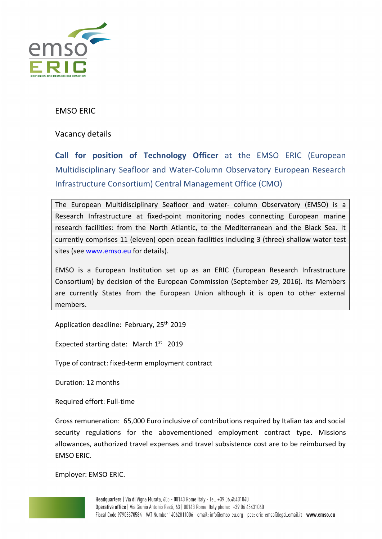

## EMSO ERIC

Vacancy details

**Call for position of Technology Officer** at the EMSO ERIC (European Multidisciplinary Seafloor and Water-Column Observatory European Research Infrastructure Consortium) Central Management Office (CMO)

The European Multidisciplinary Seafloor and water- column Observatory (EMSO) is a Research Infrastructure at fixed-point monitoring nodes connecting European marine research facilities: from the North Atlantic, to the Mediterranean and the Black Sea. It currently comprises 11 (eleven) open ocean facilities including 3 (three) shallow water test sites (see www.emso.eu for details).

EMSO is a European Institution set up as an ERIC (European Research Infrastructure Consortium) by decision of the European Commission (September 29, 2016). Its Members are currently States from the European Union although it is open to other external members.

Application deadline: February, 25<sup>th</sup> 2019

Expected starting date: March 1<sup>st</sup> 2019

Type of contract: fixed-term employment contract

Duration: 12 months

Required effort: Full-time

Gross remuneration: 65,000 Euro inclusive of contributions required by Italian tax and social security regulations for the abovementioned employment contract type. Missions allowances, authorized travel expenses and travel subsistence cost are to be reimbursed by EMSO ERIC.

Employer: EMSO ERIC.

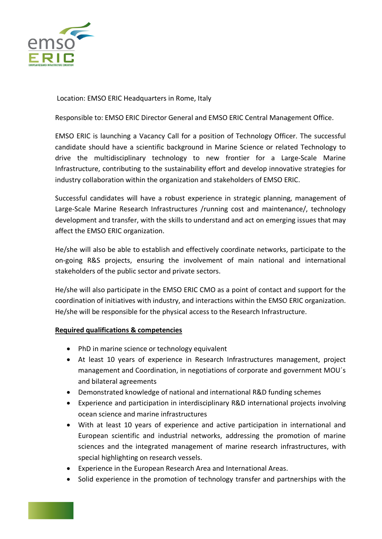

Location: EMSO ERIC Headquarters in Rome, Italy

Responsible to: EMSO ERIC Director General and EMSO ERIC Central Management Office.

EMSO ERIC is launching a Vacancy Call for a position of Technology Officer. The successful candidate should have a scientific background in Marine Science or related Technology to drive the multidisciplinary technology to new frontier for a Large-Scale Marine Infrastructure, contributing to the sustainability effort and develop innovative strategies for industry collaboration within the organization and stakeholders of EMSO ERIC.

Successful candidates will have a robust experience in strategic planning, management of Large-Scale Marine Research Infrastructures /running cost and maintenance/, technology development and transfer, with the skills to understand and act on emerging issues that may affect the EMSO ERIC organization.

He/she will also be able to establish and effectively coordinate networks, participate to the on-going R&S projects, ensuring the involvement of main national and international stakeholders of the public sector and private sectors.

He/she will also participate in the EMSO ERIC CMO as a point of contact and support for the coordination of initiatives with industry, and interactions within the EMSO ERIC organization. He/she will be responsible for the physical access to the Research Infrastructure.

## **Required qualifications & competencies**

- PhD in marine science or technology equivalent
- At least 10 years of experience in Research Infrastructures management, project management and Coordination, in negotiations of corporate and government MOU´s and bilateral agreements
- Demonstrated knowledge of national and international R&D funding schemes
- Experience and participation in interdisciplinary R&D international projects involving ocean science and marine infrastructures
- With at least 10 years of experience and active participation in international and European scientific and industrial networks, addressing the promotion of marine sciences and the integrated management of marine research infrastructures, with special highlighting on research vessels.
- Experience in the European Research Area and International Areas.
- Solid experience in the promotion of technology transfer and partnerships with the